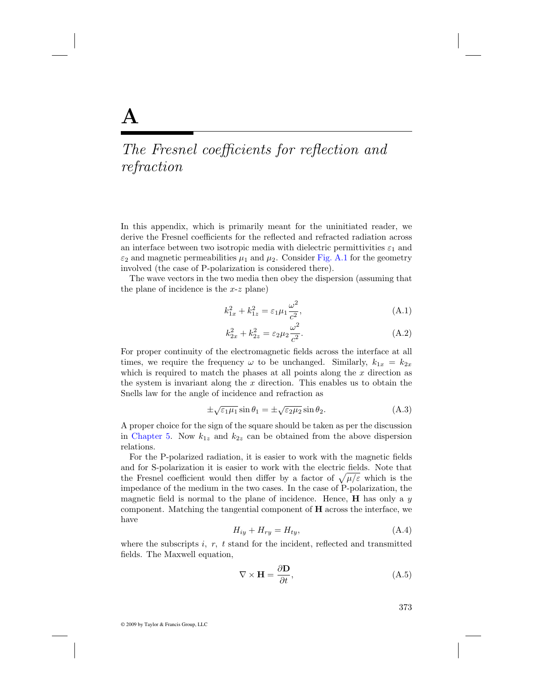## The Fresnel coefficients for reflection and refraction

In this appendix, which is primarily meant for the uninitiated reader, we derive the Fresnel coefficients for the reflected and refracted radiation across an interface between two isotropic media with dielectric permittivities  $\varepsilon_1$  and  $\varepsilon_2$  and magnetic permeabilities  $\mu_1$  and  $\mu_2$ . Consider [Fig. A.1](#page-1-0) for the geometry involved (the case of P-polarization is considered there).

The wave vectors in the two media then obey the dispersion (assuming that the plane of incidence is the  $x-z$  plane)

$$
k_{1x}^2 + k_{1z}^2 = \varepsilon_1 \mu_1 \frac{\omega^2}{c^2},\tag{A.1}
$$

$$
k_{2x}^2 + k_{2z}^2 = \varepsilon_2 \mu_2 \frac{\omega^2}{c^2}.
$$
 (A.2)

For proper continuity of the electromagnetic fields across the interface at all times, we require the frequency  $\omega$  to be unchanged. Similarly,  $k_{1x} = k_{2x}$ which is required to match the phases at all points along the  $x$  direction as the system is invariant along the  $x$  direction. This enables us to obtain the Snells law for the angle of incidence and refraction as

$$
\pm \sqrt{\varepsilon_1 \mu_1} \sin \theta_1 = \pm \sqrt{\varepsilon_2 \mu_2} \sin \theta_2. \tag{A.3}
$$

A proper choice for the sign of the square should be taken as per the discussion in Chapter 5. Now  $k_{1z}$  and  $k_{2z}$  can be obtained from the above dispersion relations.

For the P-polarized radiation, it is easier to work with the magnetic fields and for S-polarization it is easier to work with the electric fields. Note that the Fresnel coefficient would then differ by a factor of  $\sqrt{\mu/\varepsilon}$  which is the impedance of the medium in the two cases. In the case of P-polarization, the magnetic field is normal to the plane of incidence. Hence,  $H$  has only a  $y$ component. Matching the tangential component of **H** across the interface, we have

$$
H_{iy} + H_{ry} = H_{ty},\tag{A.4}
$$

where the subscripts  $i, r, t$  stand for the incident, reflected and transmitted fields. The Maxwell equation,

$$
\nabla \times \mathbf{H} = \frac{\partial \mathbf{D}}{\partial t},\tag{A.5}
$$